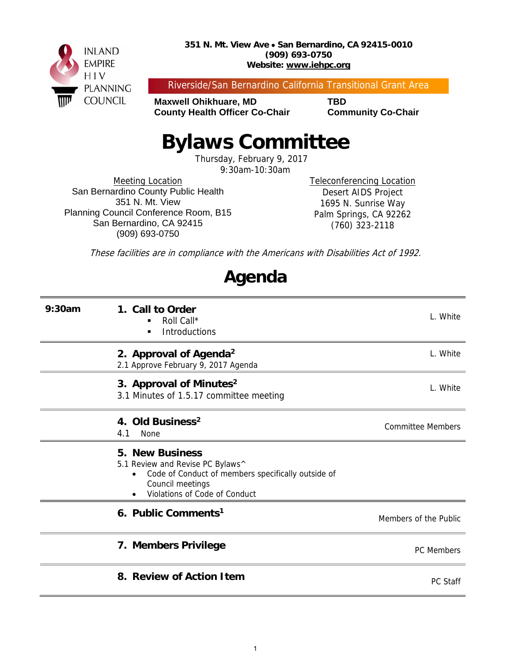

#### **351 N. Mt. View Ave San Bernardino, CA 92415-0010 (909) 693-0750 Website: www.iehpc.org**

Riverside/San Bernardino California Transitional Grant Area

**Maxwell Ohikhuare, MD TBD County Health Officer Co-Chair Community Co-Chair** 

# **Bylaws Committee**

Thursday, February 9, 2017

9:30am-10:30am

Meeting Location San Bernardino County Public Health 351 N. Mt. View Planning Council Conference Room, B15 San Bernardino, CA 92415 (909) 693-0750

Teleconferencing Location Desert AIDS Project 1695 N. Sunrise Way Palm Springs, CA 92262 (760) 323-2118

These facilities are in compliance with the Americans with Disabilities Act of 1992.

# **Agenda**

| 9:30am | 1. Call to Order<br>Roll Call*<br>■<br><b>Introductions</b><br>٠                                                                                                      | L. White                 |
|--------|-----------------------------------------------------------------------------------------------------------------------------------------------------------------------|--------------------------|
|        | 2. Approval of Agenda <sup>2</sup><br>2.1 Approve February 9, 2017 Agenda                                                                                             | L. White                 |
|        | 3. Approval of Minutes <sup>2</sup><br>3.1 Minutes of 1.5.17 committee meeting                                                                                        | L. White                 |
|        | 4. Old Business <sup>2</sup><br>4.1<br>None                                                                                                                           | <b>Committee Members</b> |
|        | <b>5. New Business</b><br>5.1 Review and Revise PC Bylaws^<br>Code of Conduct of members specifically outside of<br>Council meetings<br>Violations of Code of Conduct |                          |
|        | 6. Public Comments <sup>1</sup>                                                                                                                                       | Members of the Public    |
|        | 7. Members Privilege                                                                                                                                                  | PC Members               |
|        | 8. Review of Action Item                                                                                                                                              | PC Staff                 |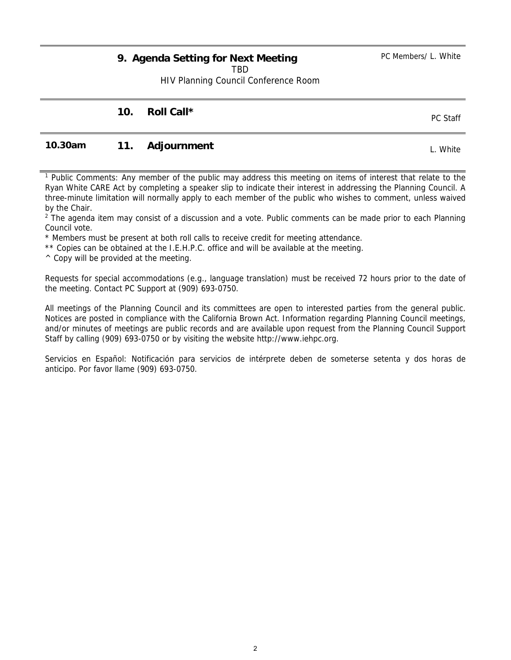## **9. Agenda Setting for Next Meeting**

TBD

HIV Planning Council Conference Room

## **10. Roll Call \* PC Staff**

### **10.30am 11. Adjournment** L. White

1 Public Comments: Any member of the public may address this meeting on items of interest that relate to the Ryan White CARE Act by completing a speaker slip to indicate their interest in addressing the Planning Council. A three-minute limitation will normally apply to each member of the public who wishes to comment, unless waived by the Chair.

<sup>2</sup> The agenda item may consist of a discussion and a vote. Public comments can be made prior to each Planning Council vote.

\* Members must be present at both roll calls to receive credit for meeting attendance.

\*\* Copies can be obtained at the I.E.H.P.C. office and will be available at the meeting.

 $\wedge$  Copy will be provided at the meeting.

Requests for special accommodations (e.g., language translation) must be received 72 hours prior to the date of the meeting. Contact PC Support at (909) 693-0750.

All meetings of the Planning Council and its committees are open to interested parties from the general public. Notices are posted in compliance with the California Brown Act. Information regarding Planning Council meetings, and/or minutes of meetings are public records and are available upon request from the Planning Council Support Staff by calling (909) 693-0750 or by visiting the website http://www.iehpc.org.

Servicios en Español: Notificación para servicios de intérprete deben de someterse setenta y dos horas de anticipo. Por favor llame (909) 693-0750.

PC Members/ L. White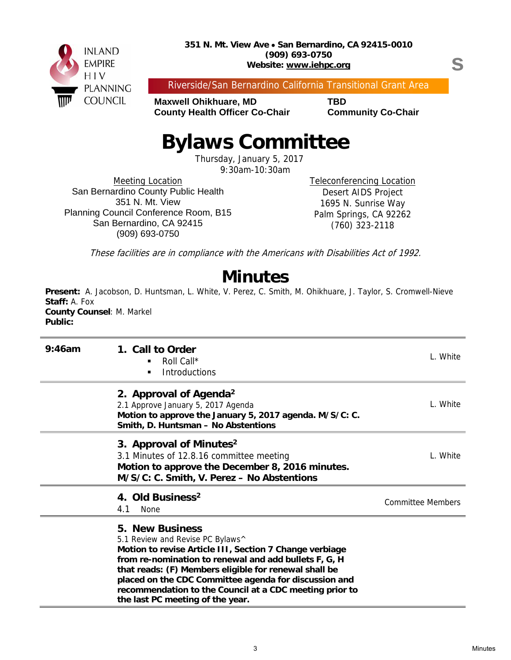

s

Riverside/San Bernardino California Transitional Grant Area

**Maxwell Ohikhuare, MD TBD County Health Officer Co-Chair Community Co-Chair** 

# **Bylaws Committee**

Thursday, January 5, 2017

9:30am-10:30am

Meeting Location San Bernardino County Public Health 351 N. Mt. View Planning Council Conference Room, B15 San Bernardino, CA 92415 (909) 693-0750

Teleconferencing Location Desert AIDS Project 1695 N. Sunrise Way Palm Springs, CA 92262 (760) 323-2118

These facilities are in compliance with the Americans with Disabilities Act of 1992.

## **Minutes**

**Present:** A. Jacobson, D. Huntsman, L. White, V. Perez, C. Smith, M. Ohikhuare, J. Taylor, S. Cromwell-Nieve **Staff:** A. Fox **County Counsel**: M. Markel **Public:** 

| 9:46am | 1. Call to Order<br>Roll Call*<br><b>Introductions</b><br>$\blacksquare$                                                                                                                                                                                                                                                                                                                        | L. White                 |
|--------|-------------------------------------------------------------------------------------------------------------------------------------------------------------------------------------------------------------------------------------------------------------------------------------------------------------------------------------------------------------------------------------------------|--------------------------|
|        | 2. Approval of Agenda <sup>2</sup><br>2.1 Approve January 5, 2017 Agenda<br>Motion to approve the January 5, 2017 agenda. M/S/C: C.<br>Smith, D. Huntsman - No Abstentions                                                                                                                                                                                                                      | L. White                 |
|        | 3. Approval of Minutes <sup>2</sup><br>3.1 Minutes of 12.8.16 committee meeting<br>Motion to approve the December 8, 2016 minutes.<br>M/S/C: C. Smith, V. Perez - No Abstentions                                                                                                                                                                                                                | L. White                 |
|        | 4. Old Business <sup>2</sup><br>4.1<br>None                                                                                                                                                                                                                                                                                                                                                     | <b>Committee Members</b> |
|        | <b>5. New Business</b><br>5.1 Review and Revise PC Bylaws^<br>Motion to revise Article III, Section 7 Change verbiage<br>from re-nomination to renewal and add bullets F, G, H<br>that reads: (F) Members eligible for renewal shall be<br>placed on the CDC Committee agenda for discussion and<br>recommendation to the Council at a CDC meeting prior to<br>the last PC meeting of the year. |                          |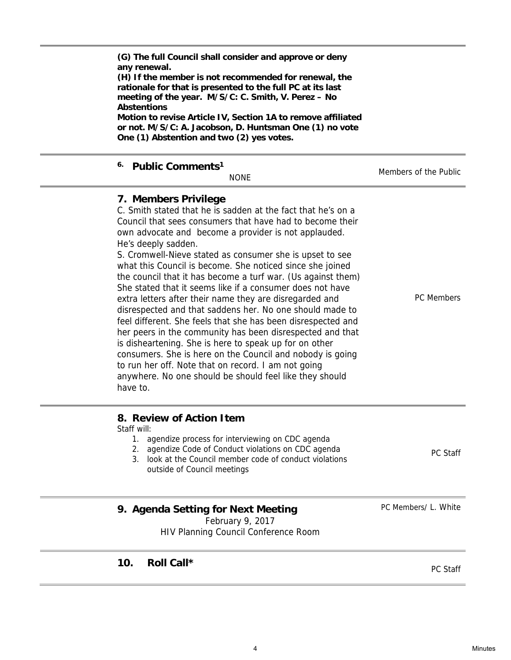PC Members/ L. White

| any renewal.<br>(H) If the member is not recommended for renewal, the<br>rationale for that is presented to the full PC at its last<br>meeting of the year. M/S/C: C. Smith, V. Perez - No<br><b>Abstentions</b><br>Motion to revise Article IV, Section 1A to remove affiliated<br>or not. M/S/C: A. Jacobson, D. Huntsman One (1) no vote<br>One (1) Abstention and two (2) yes votes.                                                                                                                                                                                                                                                                                                                                                                                                                                                                                                                                                                                                        |                       |
|-------------------------------------------------------------------------------------------------------------------------------------------------------------------------------------------------------------------------------------------------------------------------------------------------------------------------------------------------------------------------------------------------------------------------------------------------------------------------------------------------------------------------------------------------------------------------------------------------------------------------------------------------------------------------------------------------------------------------------------------------------------------------------------------------------------------------------------------------------------------------------------------------------------------------------------------------------------------------------------------------|-----------------------|
| <sup>6.</sup> Public Comments <sup>1</sup><br><b>NONE</b>                                                                                                                                                                                                                                                                                                                                                                                                                                                                                                                                                                                                                                                                                                                                                                                                                                                                                                                                       | Members of the Public |
| 7. Members Privilege<br>C. Smith stated that he is sadden at the fact that he's on a<br>Council that sees consumers that have had to become their<br>own advocate and become a provider is not applauded.<br>He's deeply sadden.<br>S. Cromwell-Nieve stated as consumer she is upset to see<br>what this Council is become. She noticed since she joined<br>the council that it has become a turf war. (Us against them)<br>She stated that it seems like if a consumer does not have<br>extra letters after their name they are disregarded and<br>disrespected and that saddens her. No one should made to<br>feel different. She feels that she has been disrespected and<br>her peers in the community has been disrespected and that<br>is disheartening. She is here to speak up for on other<br>consumers. She is here on the Council and nobody is going<br>to run her off. Note that on record. I am not going<br>anywhere. No one should be should feel like they should<br>have to. | <b>PC Members</b>     |
| 8. Review of Action Item<br>Staff will:                                                                                                                                                                                                                                                                                                                                                                                                                                                                                                                                                                                                                                                                                                                                                                                                                                                                                                                                                         |                       |

1. agendize process for interviewing on CDC agenda

**(G) The full Council shall consider and approve or deny** 

2. agendize Code of Conduct violations on CDC agenda 3. look at the Council member code of conduct violations outside of Council meetings PC Staff

## **9. Agenda Setting for Next Meeting**

February 9, 2017 HIV Planning Council Conference Room